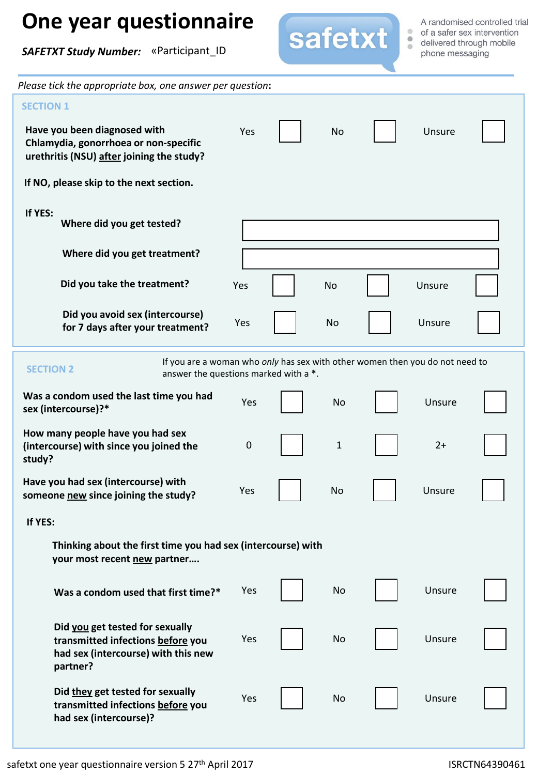## **One year questionnaire**

*SAFETXT Study Number:* «Participant\_ID



A randomised controlled trial phone messaging

| Please tick the appropriate box, one answer per question:                                                                                 |           |  |           |  |        |  |  |  |  |  |  |
|-------------------------------------------------------------------------------------------------------------------------------------------|-----------|--|-----------|--|--------|--|--|--|--|--|--|
| <b>SECTION 1</b>                                                                                                                          |           |  |           |  |        |  |  |  |  |  |  |
| Have you been diagnosed with<br>Chlamydia, gonorrhoea or non-specific<br>urethritis (NSU) after joining the study?                        | Yes       |  | <b>No</b> |  | Unsure |  |  |  |  |  |  |
| If NO, please skip to the next section.                                                                                                   |           |  |           |  |        |  |  |  |  |  |  |
| If YES:<br>Where did you get tested?                                                                                                      |           |  |           |  |        |  |  |  |  |  |  |
| Where did you get treatment?                                                                                                              |           |  |           |  |        |  |  |  |  |  |  |
| Did you take the treatment?                                                                                                               | Yes       |  | No        |  | Unsure |  |  |  |  |  |  |
| Did you avoid sex (intercourse)<br>for 7 days after your treatment?                                                                       | Yes       |  | No        |  | Unsure |  |  |  |  |  |  |
| If you are a woman who only has sex with other women then you do not need to<br><b>SECTION 2</b><br>answer the questions marked with a *. |           |  |           |  |        |  |  |  |  |  |  |
| Was a condom used the last time you had<br>sex (intercourse)?*                                                                            | Yes       |  | <b>No</b> |  | Unsure |  |  |  |  |  |  |
| How many people have you had sex<br>(intercourse) with since you joined the<br>study?                                                     | $\pmb{0}$ |  | 1         |  | $2+$   |  |  |  |  |  |  |
| Have you had sex (intercourse) with<br>someone new since joining the study?                                                               | Yes       |  | No        |  | Unsure |  |  |  |  |  |  |
| If YES:                                                                                                                                   |           |  |           |  |        |  |  |  |  |  |  |
| Thinking about the first time you had sex (intercourse) with<br>your most recent new partner                                              |           |  |           |  |        |  |  |  |  |  |  |
| Was a condom used that first time?*                                                                                                       | Yes       |  | No        |  | Unsure |  |  |  |  |  |  |
| Did you get tested for sexually<br>transmitted infections before you<br>had sex (intercourse) with this new<br>partner?                   | Yes       |  | No        |  | Unsure |  |  |  |  |  |  |
| Did they get tested for sexually<br>transmitted infections before you<br>had sex (intercourse)?                                           | Yes       |  | No        |  | Unsure |  |  |  |  |  |  |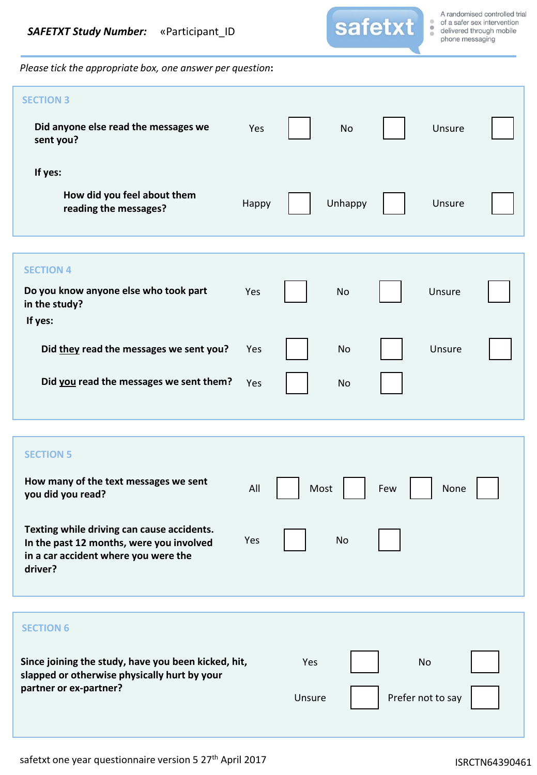

*Please tick the appropriate box, one answer per question***:**

| <b>SECTION 3</b><br>Did anyone else read the messages we<br>sent you?                                                                     | Yes   |               | <b>No</b> |     | Unsure                         |  |
|-------------------------------------------------------------------------------------------------------------------------------------------|-------|---------------|-----------|-----|--------------------------------|--|
| If yes:                                                                                                                                   |       |               |           |     |                                |  |
| How did you feel about them<br>reading the messages?                                                                                      | Happy |               | Unhappy   |     | Unsure                         |  |
| <b>SECTION 4</b>                                                                                                                          |       |               |           |     |                                |  |
| Do you know anyone else who took part<br>in the study?<br>If yes:                                                                         | Yes   |               | No        |     | Unsure                         |  |
| Did they read the messages we sent you?                                                                                                   | Yes   |               | No        |     | Unsure                         |  |
| Did you read the messages we sent them?                                                                                                   | Yes   |               | <b>No</b> |     |                                |  |
|                                                                                                                                           |       |               |           |     |                                |  |
| <b>SECTION 5</b>                                                                                                                          |       |               |           |     |                                |  |
| How many of the text messages we sent<br>you did you read?                                                                                | All   | Most          |           | Few | None                           |  |
| Texting while driving can cause accidents.<br>In the past 12 months, were you involved<br>in a car accident where you were the<br>driver? | Yes   |               | No        |     |                                |  |
|                                                                                                                                           |       |               |           |     |                                |  |
| <b>SECTION 6</b>                                                                                                                          |       |               |           |     |                                |  |
| Since joining the study, have you been kicked, hit,<br>slapped or otherwise physically hurt by your<br>partner or ex-partner?             |       | Yes<br>Unsure |           |     | <b>No</b><br>Prefer not to say |  |